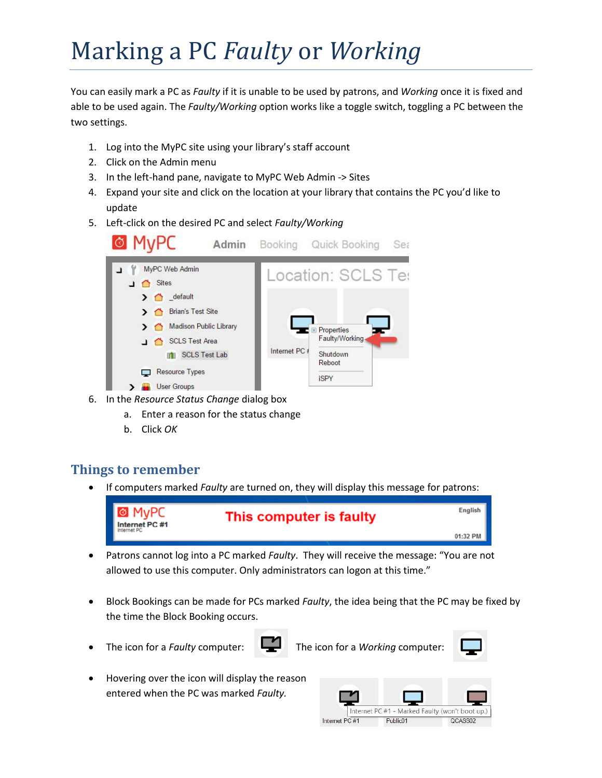# Marking a PC *Faulty* or *Working*

You can easily mark a PC as *Faulty* if it is unable to be used by patrons, and *Working* once it is fixed and able to be used again. The *Faulty/Working* option works like a toggle switch, toggling a PC between the two settings.

- 1. Log into the MyPC site using your library's staff account
- 2. Click on the Admin menu
- 3. In the left-hand pane, navigate to MyPC Web Admin -> Sites
- 4. Expand your site and click on the location at your library that contains the PC you'd like to update
- 5. Left-click on the desired PC and select *Faulty/Working*



- 6. In the *Resource Status Change* dialog box
	- a. Enter a reason for the status change
	- b. Click *OK*

## **Things to remember**

If computers marked *Faulty* are turned on, they will display this message for patrons:



- Patrons cannot log into a PC marked *Faulty*. They will receive the message: "You are not allowed to use this computer. Only administrators can logon at this time."
- Block Bookings can be made for PCs marked *Faulty*, the idea being that the PC may be fixed by the time the Block Booking occurs.
- 

The icon for a *Faulty* computer: The icon for a *Working* computer:



 Hovering over the icon will display the reason entered when the PC was marked *Faulty.*

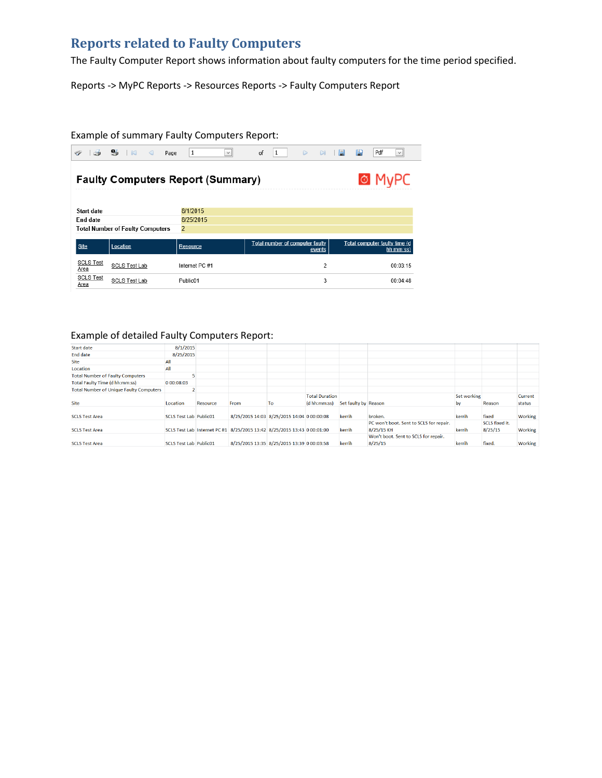## **Reports related to Faulty Computers**

The Faulty Computer Report shows information about faulty computers for the time period specified.

Reports -> MyPC Reports -> Resources Reports -> Faulty Computers Report

#### Example of summary Faulty Computers Report:

| $\Rightarrow$                                                 | $\mathbf{e}_b$<br>$\blacksquare$<br>$\lhd$ | 1<br>Page             | $\checkmark$ | of | 1                               | $\triangleright$ | $\Box$ | 圖 | 鳫 | Pdf<br>$\checkmark$                        |
|---------------------------------------------------------------|--------------------------------------------|-----------------------|--------------|----|---------------------------------|------------------|--------|---|---|--------------------------------------------|
| <b>&amp; MvPC</b><br><b>Faulty Computers Report (Summary)</b> |                                            |                       |              |    |                                 |                  |        |   |   |                                            |
| Start date<br>End date                                        |                                            | 8/1/2015<br>8/25/2015 |              |    |                                 |                  |        |   |   |                                            |
|                                                               | <b>Total Number of Faulty Computers</b>    | $\overline{2}$        |              |    |                                 |                  |        |   |   |                                            |
| Site                                                          | Location                                   | Resource              |              |    | Total number of computer faulty |                  | events |   |   | Total computer faulty time (d<br>hh:mm:ss) |
| <b>SCLS Test</b><br>Area                                      | <b>SCLS Test Lab</b>                       | Internet PC #1        |              |    |                                 |                  | 2      |   |   | 00:03:15                                   |
| <b>SCLS Test</b><br>Area                                      | <b>SCLS Test Lab</b>                       | Public01              |              |    |                                 |                  | 3      |   |   | 00:04:48                                   |

#### Example of detailed Faulty Computers Report:

| Start date                                     | 8/1/2015                      |          |                                                                         |                                            |                       |                      |                                         |             |                |                |
|------------------------------------------------|-------------------------------|----------|-------------------------------------------------------------------------|--------------------------------------------|-----------------------|----------------------|-----------------------------------------|-------------|----------------|----------------|
| End date                                       | 8/25/2015                     |          |                                                                         |                                            |                       |                      |                                         |             |                |                |
| Site                                           | All                           |          |                                                                         |                                            |                       |                      |                                         |             |                |                |
| Location                                       | All                           |          |                                                                         |                                            |                       |                      |                                         |             |                |                |
| <b>Total Number of Faulty Computers</b>        |                               |          |                                                                         |                                            |                       |                      |                                         |             |                |                |
| <b>Total Faulty Time (d hh:mm:ss)</b>          | 0 00:08:03                    |          |                                                                         |                                            |                       |                      |                                         |             |                |                |
| <b>Total Number of Unique Faulty Computers</b> |                               |          |                                                                         |                                            |                       |                      |                                         |             |                |                |
|                                                |                               |          |                                                                         |                                            | <b>Total Duration</b> |                      |                                         | Set working |                | Current        |
| Site                                           | Location                      | Resource | From                                                                    | To                                         | (d hh:mm:ss)          | Set faulty by Reason |                                         | by          | Reason         | status         |
| <b>SCLS Test Area</b>                          | <b>SCLS Test Lab Public01</b> |          |                                                                         | 8/25/2015 14:03 8/25/2015 14:04 0 00:00:08 |                       | kerrih               | broken.                                 | kerrih      | fixed          | Working        |
|                                                |                               |          |                                                                         |                                            |                       |                      | PC won't boot. Sent to SCLS for repair. |             | SCLS fixed it. |                |
| <b>SCLS Test Area</b>                          |                               |          | SCLS Test Lab Internet PC #1 8/25/2015 13:42 8/25/2015 13:43 0 00:01:00 |                                            |                       | kerrih               | 8/25/15 KH                              | kerrih      | 8/25/15        | <b>Working</b> |
|                                                |                               |          |                                                                         |                                            |                       |                      | Won't boot. Sent to SCLS for repair.    |             |                |                |
| <b>SCLS Test Area</b>                          | <b>SCLS Test Lab Public01</b> |          |                                                                         | 8/25/2015 13:35 8/25/2015 13:39 0 00:03:58 |                       | kerrih               | 8/25/15                                 | kerrih      | fixed.         | Working        |